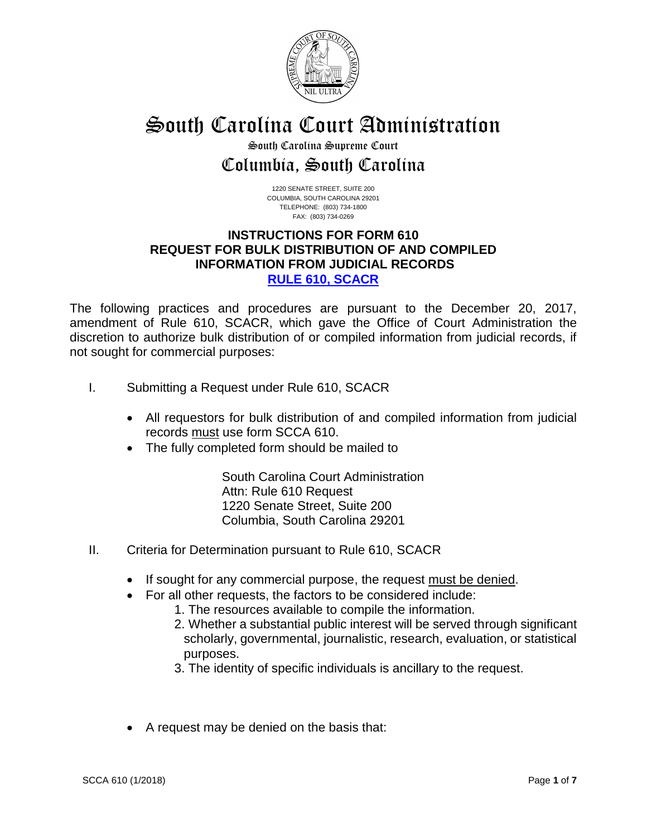

# South Carolina Court Administration

## South Carolina Supreme Court Columbia, South Carolina

1220 SENATE STREET, SUITE 200 COLUMBIA, SOUTH CAROLINA 29201 TELEPHONE: (803) 734-1800 FAX: (803) 734-0269

## **INSTRUCTIONS FOR FORM 610 REQUEST FOR BULK DISTRIBUTION OF AND COMPILED INFORMATION FROM JUDICIAL RECORDS [RULE 610, SCACR](http://www.sccourts.org/courtReg/displayRule.cfm?ruleID=610.0&subRuleID=&ruleType=APP)**

The following practices and procedures are pursuant to the December 20, 2017, amendment of Rule 610, SCACR, which gave the Office of Court Administration the discretion to authorize bulk distribution of or compiled information from judicial records, if not sought for commercial purposes:

- I. Submitting a Request under Rule 610, SCACR
	- All requestors for bulk distribution of and compiled information from judicial records must use form SCCA 610.
	- The fully completed form should be mailed to

South Carolina Court Administration Attn: Rule 610 Request 1220 Senate Street, Suite 200 Columbia, South Carolina 29201

- II. Criteria for Determination pursuant to Rule 610, SCACR
	- If sought for any commercial purpose, the request must be denied.
	- For all other requests, the factors to be considered include:
		- 1. The resources available to compile the information.
		- 2. Whether a substantial public interest will be served through significant scholarly, governmental, journalistic, research, evaluation, or statistical purposes.
		- 3. The identity of specific individuals is ancillary to the request.
	- A request may be denied on the basis that: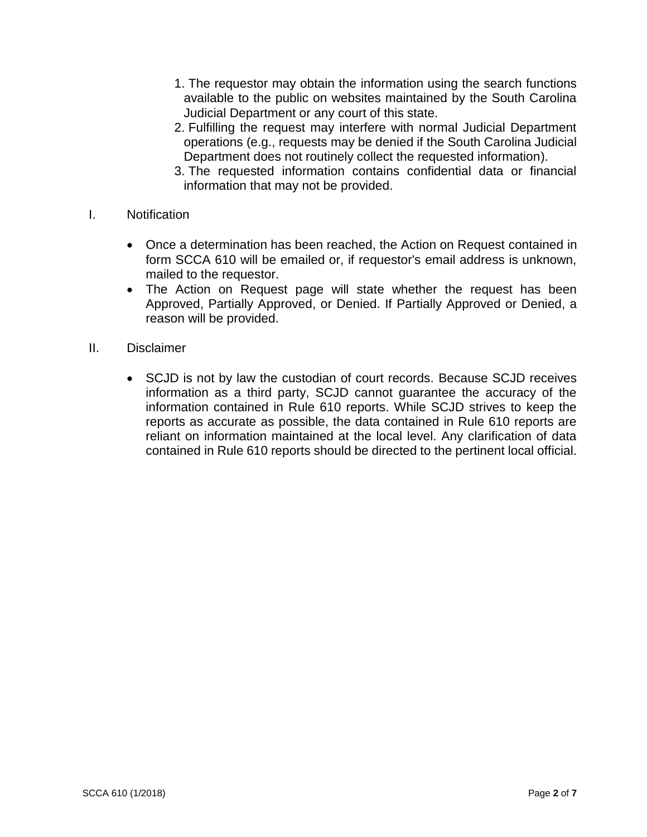- 1. The requestor may obtain the information using the search functions available to the public on websites maintained by the South Carolina Judicial Department or any court of this state.
- 2. Fulfilling the request may interfere with normal Judicial Department operations (e.g., requests may be denied if the South Carolina Judicial Department does not routinely collect the requested information).
- 3. The requested information contains confidential data or financial information that may not be provided.
- I. Notification
	- Once a determination has been reached, the Action on Request contained in form SCCA 610 will be emailed or, if requestor's email address is unknown, mailed to the requestor.
	- The Action on Request page will state whether the request has been Approved, Partially Approved, or Denied. If Partially Approved or Denied, a reason will be provided.
- II. Disclaimer
	- SCJD is not by law the custodian of court records. Because SCJD receives information as a third party, SCJD cannot guarantee the accuracy of the information contained in Rule 610 reports. While SCJD strives to keep the reports as accurate as possible, the data contained in Rule 610 reports are reliant on information maintained at the local level. Any clarification of data contained in Rule 610 reports should be directed to the pertinent local official.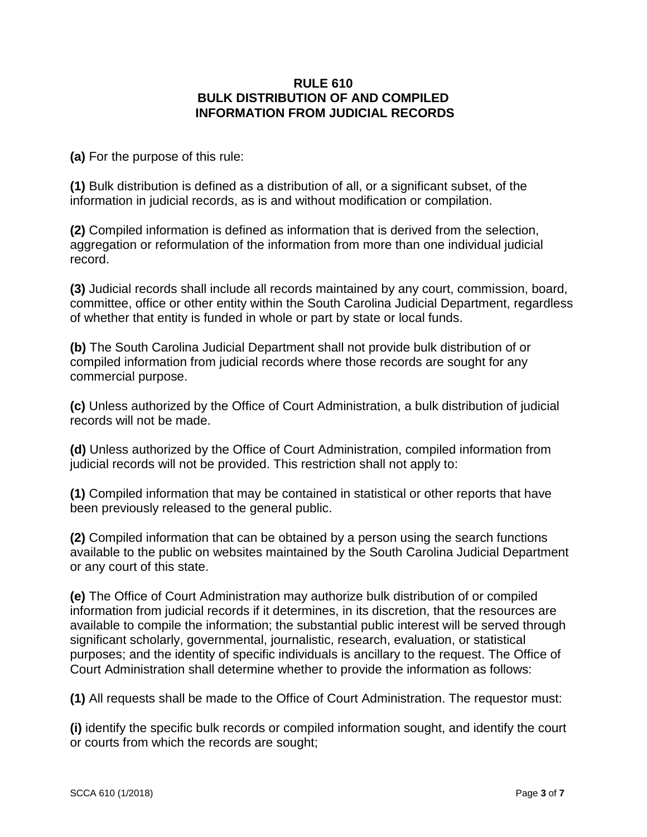### **RULE 610 BULK DISTRIBUTION OF AND COMPILED INFORMATION FROM JUDICIAL RECORDS**

**(a)** For the purpose of this rule:

**(1)** Bulk distribution is defined as a distribution of all, or a significant subset, of the information in judicial records, as is and without modification or compilation.

**(2)** Compiled information is defined as information that is derived from the selection, aggregation or reformulation of the information from more than one individual judicial record.

**(3)** Judicial records shall include all records maintained by any court, commission, board, committee, office or other entity within the South Carolina Judicial Department, regardless of whether that entity is funded in whole or part by state or local funds.

**(b)** The South Carolina Judicial Department shall not provide bulk distribution of or compiled information from judicial records where those records are sought for any commercial purpose.

**(c)** Unless authorized by the Office of Court Administration, a bulk distribution of judicial records will not be made.

**(d)** Unless authorized by the Office of Court Administration, compiled information from judicial records will not be provided. This restriction shall not apply to:

**(1)** Compiled information that may be contained in statistical or other reports that have been previously released to the general public.

**(2)** Compiled information that can be obtained by a person using the search functions available to the public on websites maintained by the South Carolina Judicial Department or any court of this state.

**(e)** The Office of Court Administration may authorize bulk distribution of or compiled information from judicial records if it determines, in its discretion, that the resources are available to compile the information; the substantial public interest will be served through significant scholarly, governmental, journalistic, research, evaluation, or statistical purposes; and the identity of specific individuals is ancillary to the request. The Office of Court Administration shall determine whether to provide the information as follows:

**(1)** All requests shall be made to the Office of Court Administration. The requestor must:

**(i)** identify the specific bulk records or compiled information sought, and identify the court or courts from which the records are sought;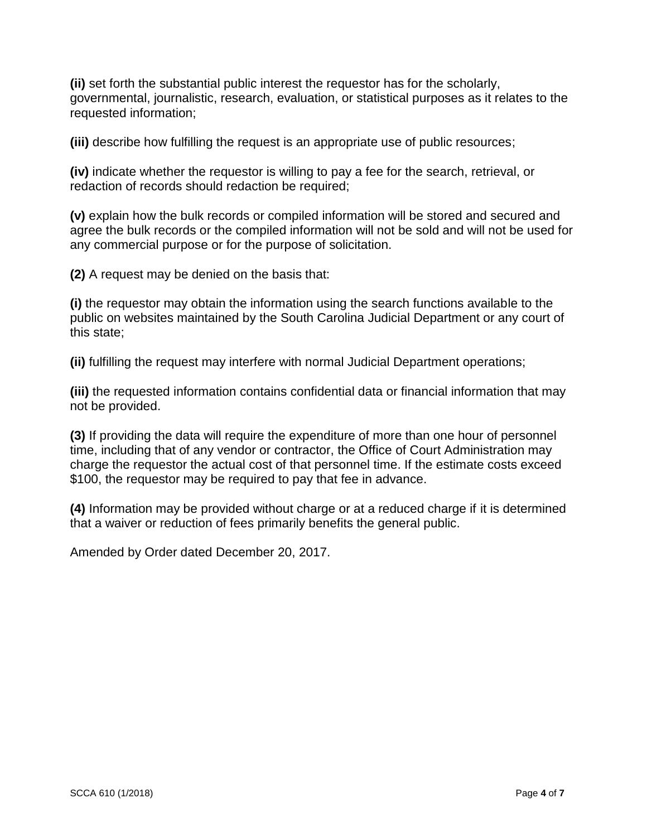**(ii)** set forth the substantial public interest the requestor has for the scholarly, governmental, journalistic, research, evaluation, or statistical purposes as it relates to the requested information;

**(iii)** describe how fulfilling the request is an appropriate use of public resources;

**(iv)** indicate whether the requestor is willing to pay a fee for the search, retrieval, or redaction of records should redaction be required;

**(v)** explain how the bulk records or compiled information will be stored and secured and agree the bulk records or the compiled information will not be sold and will not be used for any commercial purpose or for the purpose of solicitation.

**(2)** A request may be denied on the basis that:

**(i)** the requestor may obtain the information using the search functions available to the public on websites maintained by the South Carolina Judicial Department or any court of this state;

**(ii)** fulfilling the request may interfere with normal Judicial Department operations;

**(iii)** the requested information contains confidential data or financial information that may not be provided.

**(3)** If providing the data will require the expenditure of more than one hour of personnel time, including that of any vendor or contractor, the Office of Court Administration may charge the requestor the actual cost of that personnel time. If the estimate costs exceed \$100, the requestor may be required to pay that fee in advance.

**(4)** Information may be provided without charge or at a reduced charge if it is determined that a waiver or reduction of fees primarily benefits the general public.

Amended by Order dated December 20, 2017.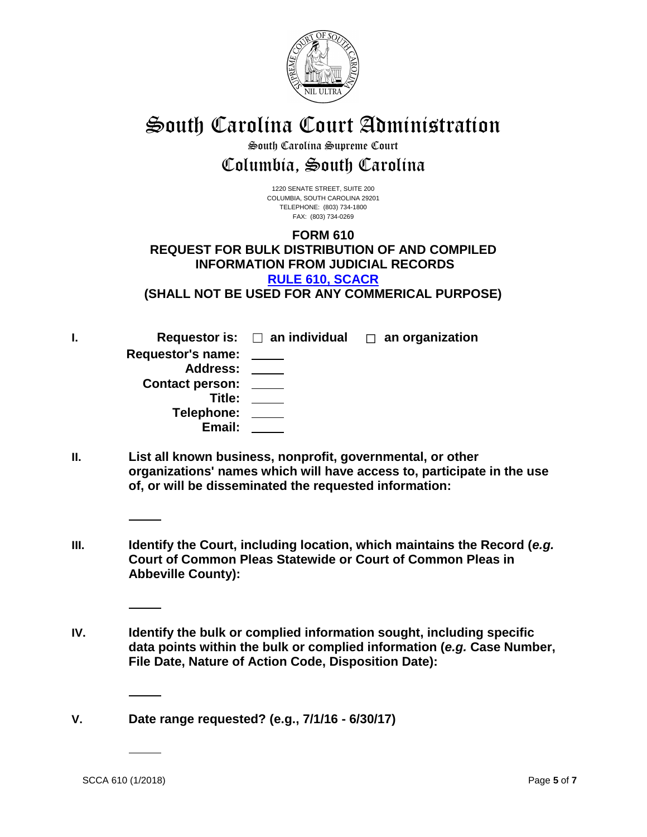

# South Carolina Court Administration

## South Carolina Supreme Court Columbia, South Carolina

1220 SENATE STREET, SUITE 200 COLUMBIA, SOUTH CAROLINA 29201 TELEPHONE: (803) 734-1800 FAX: (803) 734-0269

## **FORM 610 REQUEST FOR BULK DISTRIBUTION OF AND COMPILED INFORMATION FROM JUDICIAL RECORDS [RULE 610, SCACR](http://www.sccourts.org/courtReg/displayRule.cfm?ruleID=610.0&subRuleID=&ruleType=APP)**

**(SHALL NOT BE USED FOR ANY COMMERICAL PURPOSE)**

**I. Requestor is:** ☐ **an individual** ☐ **an organization Requestor's name: Address: Contact person: Title: Telephone: Email:**

- **II. List all known business, nonprofit, governmental, or other organizations' names which will have access to, participate in the use of, or will be disseminated the requested information:**
- **III. Identify the Court, including location, which maintains the Record (***e.g.* **Court of Common Pleas Statewide or Court of Common Pleas in Abbeville County):**
- **IV. Identify the bulk or complied information sought, including specific data points within the bulk or complied information (***e.g.* **Case Number, File Date, Nature of Action Code, Disposition Date):**

**V. Date range requested? (e.g., 7/1/16 - 6/30/17)**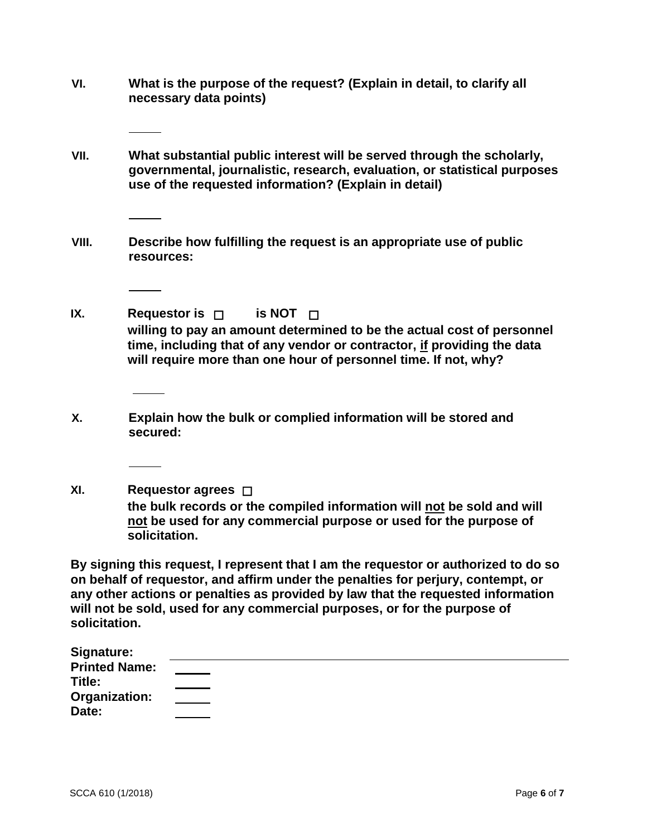- **VI. What is the purpose of the request? (Explain in detail, to clarify all necessary data points)**
- **VII. What substantial public interest will be served through the scholarly, governmental, journalistic, research, evaluation, or statistical purposes use of the requested information? (Explain in detail)**
- **VIII. Describe how fulfilling the request is an appropriate use of public resources:**
- **IX. Requestor is** ☐ **is NOT** ☐ **willing to pay an amount determined to be the actual cost of personnel time, including that of any vendor or contractor, if providing the data will require more than one hour of personnel time. If not, why?**
- **X. Explain how the bulk or complied information will be stored and secured:**
- **XI. Requestor agrees** ☐ **the bulk records or the compiled information will not be sold and will not be used for any commercial purpose or used for the purpose of solicitation.**

**By signing this request, I represent that I am the requestor or authorized to do so on behalf of requestor, and affirm under the penalties for perjury, contempt, or any other actions or penalties as provided by law that the requested information will not be sold, used for any commercial purposes, or for the purpose of solicitation.**

| Signature:           |                                                             |  |  |
|----------------------|-------------------------------------------------------------|--|--|
| <b>Printed Name:</b> |                                                             |  |  |
| Title:               |                                                             |  |  |
| Organization:        | the control of the control of the control of the control of |  |  |
| Date:                |                                                             |  |  |